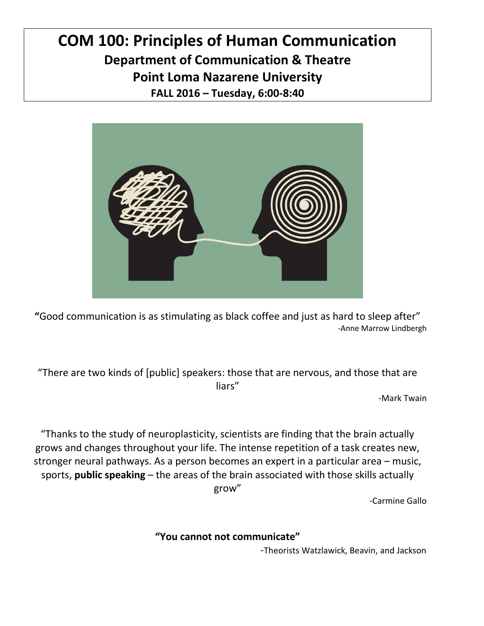# **COM 100: Principles of Human Communication Department of Communication & Theatre Point Loma Nazarene University FALL 2016 – Tuesday, 6:00-8:40**



**"**Good communication is as stimulating as black coffee and just as hard to sleep after" -Anne Marrow Lindbergh

"There are two kinds of [public] speakers: those that are nervous, and those that are liars"

-Mark Twain

"Thanks to the study of neuroplasticity, scientists are finding that the brain actually grows and changes throughout your life. The intense repetition of a task creates new, stronger neural pathways. As a person becomes an expert in a particular area – music, sports, **public speaking** – the areas of the brain associated with those skills actually grow"

-Carmine Gallo

**"You cannot not communicate"**

-Theorists Watzlawick, Beavin, and Jackson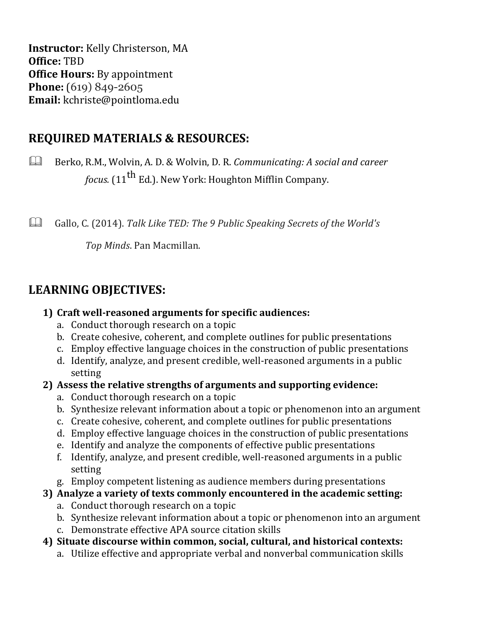**Instructor:** Kelly Christerson, MA **Office:** TBD **Office Hours:** By appointment **Phone:** (619) 849-2605 **Email:** kchriste@pointloma.edu

### **REQUIRED MATERIALS & RESOURCES:**

Berko, R.M., Wolvin, A. D. & Wolvin, D. R. *Communicating: A social and career focus.* (11<sup>th</sup> Ed.). New York: Houghton Mifflin Company.

Gallo, C. (2014). *Talk Like TED: The 9 Public Speaking Secrets of the World's*

*Top Minds*. Pan Macmillan.

## **LEARNING OBJECTIVES:**

#### **1) Craft well-reasoned arguments for specific audiences:**

- a. Conduct thorough research on a topic
- b. Create cohesive, coherent, and complete outlines for public presentations
- c. Employ effective language choices in the construction of public presentations
- d. Identify, analyze, and present credible, well-reasoned arguments in a public setting
- **2) Assess the relative strengths of arguments and supporting evidence:**
	- a. Conduct thorough research on a topic
	- b. Synthesize relevant information about a topic or phenomenon into an argument
	- c. Create cohesive, coherent, and complete outlines for public presentations
	- d. Employ effective language choices in the construction of public presentations
	- e. Identify and analyze the components of effective public presentations
	- f. Identify, analyze, and present credible, well-reasoned arguments in a public setting
	- g. Employ competent listening as audience members during presentations
- **3) Analyze a variety of texts commonly encountered in the academic setting:**
	- a. Conduct thorough research on a topic
	- b. Synthesize relevant information about a topic or phenomenon into an argument
	- c. Demonstrate effective APA source citation skills
- **4) Situate discourse within common, social, cultural, and historical contexts:**
	- a. Utilize effective and appropriate verbal and nonverbal communication skills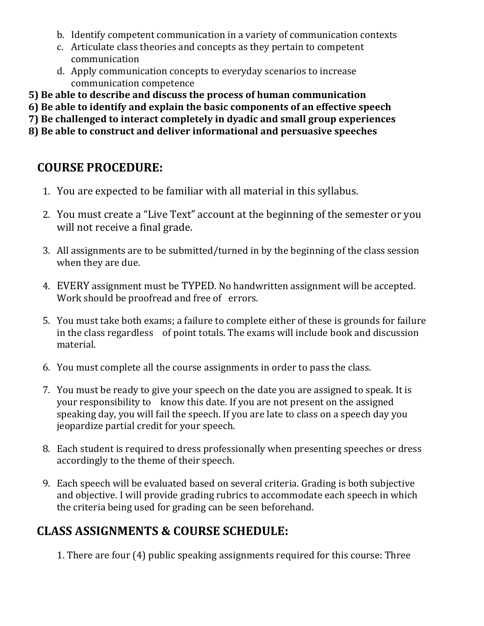- b. Identify competent communication in a variety of communication contexts
- c. Articulate class theories and concepts as they pertain to competent communication
- d. Apply communication concepts to everyday scenarios to increase communication competence
- **5) Be able to describe and discuss the process of human communication**
- **6) Be able to identify and explain the basic components of an effective speech**
- **7) Be challenged to interact completely in dyadic and small group experiences**
- **8) Be able to construct and deliver informational and persuasive speeches**

## **COURSE PROCEDURE:**

- 1. You are expected to be familiar with all material in this syllabus.
- 2. You must create a "Live Text" account at the beginning of the semester or you will not receive a final grade.
- 3. All assignments are to be submitted/turned in by the beginning of the class session when they are due.
- 4. EVERY assignment must be TYPED. No handwritten assignment will be accepted. Work should be proofread and free of errors.
- 5. You must take both exams; a failure to complete either of these is grounds for failure in the class regardless of point totals. The exams will include book and discussion material.
- 6. You must complete all the course assignments in order to pass the class.
- 7. You must be ready to give your speech on the date you are assigned to speak. It is your responsibility to know this date. If you are not present on the assigned speaking day, you will fail the speech. If you are late to class on a speech day you jeopardize partial credit for your speech.
- 8. Each student is required to dress professionally when presenting speeches or dress accordingly to the theme of their speech.
- 9. Each speech will be evaluated based on several criteria. Grading is both subjective and objective. I will provide grading rubrics to accommodate each speech in which the criteria being used for grading can be seen beforehand.

## **CLASS ASSIGNMENTS & COURSE SCHEDULE:**

1. There are four (4) public speaking assignments required for this course: Three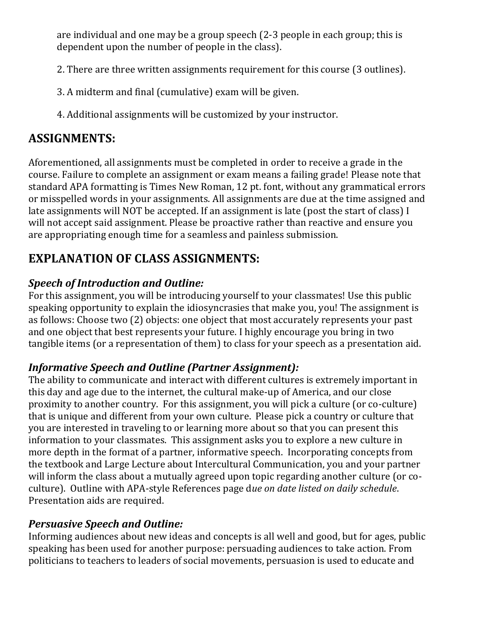are individual and one may be a group speech (2-3 people in each group; this is dependent upon the number of people in the class).

- 2. There are three written assignments requirement for this course (3 outlines).
- 3. A midterm and final (cumulative) exam will be given.
- 4. Additional assignments will be customized by your instructor.

## **ASSIGNMENTS:**

Aforementioned, all assignments must be completed in order to receive a grade in the course. Failure to complete an assignment or exam means a failing grade! Please note that standard APA formatting is Times New Roman, 12 pt. font, without any grammatical errors or misspelled words in your assignments. All assignments are due at the time assigned and late assignments will NOT be accepted. If an assignment is late (post the start of class) I will not accept said assignment. Please be proactive rather than reactive and ensure you are appropriating enough time for a seamless and painless submission.

# **EXPLANATION OF CLASS ASSIGNMENTS:**

### *Speech of Introduction and Outline:*

For this assignment, you will be introducing yourself to your classmates! Use this public speaking opportunity to explain the idiosyncrasies that make you, you! The assignment is as follows: Choose two (2) objects: one object that most accurately represents your past and one object that best represents your future. I highly encourage you bring in two tangible items (or a representation of them) to class for your speech as a presentation aid.

## *Informative Speech and Outline (Partner Assignment):*

The ability to communicate and interact with different cultures is extremely important in this day and age due to the internet, the cultural make-up of America, and our close proximity to another country. For this assignment, you will pick a culture (or co-culture) that is unique and different from your own culture. Please pick a country or culture that you are interested in traveling to or learning more about so that you can present this information to your classmates. This assignment asks you to explore a new culture in more depth in the format of a partner, informative speech. Incorporating concepts from the textbook and Large Lecture about Intercultural Communication, you and your partner will inform the class about a mutually agreed upon topic regarding another culture (or coculture). Outline with APA-style References page d*ue on date listed on daily schedule*. Presentation aids are required.

### *Persuasive Speech and Outline:*

Informing audiences about new ideas and concepts is all well and good, but for ages, public speaking has been used for another purpose: persuading audiences to take action. From politicians to teachers to leaders of social movements, persuasion is used to educate and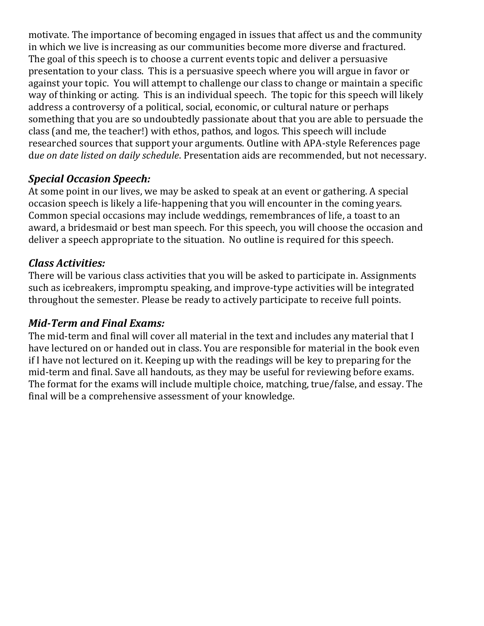motivate. The importance of becoming engaged in issues that affect us and the community in which we live is increasing as our communities become more diverse and fractured. The goal of this speech is to choose a current events topic and deliver a persuasive presentation to your class. This is a persuasive speech where you will argue in favor or against your topic. You will attempt to challenge our class to change or maintain a specific way of thinking or acting. This is an individual speech. The topic for this speech will likely address a controversy of a political, social, economic, or cultural nature or perhaps something that you are so undoubtedly passionate about that you are able to persuade the class (and me, the teacher!) with ethos, pathos, and logos. This speech will include researched sources that support your arguments. Outline with APA-style References page d*ue on date listed on daily schedule*. Presentation aids are recommended, but not necessary.

#### *Special Occasion Speech:*

At some point in our lives, we may be asked to speak at an event or gathering. A special occasion speech is likely a life-happening that you will encounter in the coming years. Common special occasions may include weddings, remembrances of life, a toast to an award, a bridesmaid or best man speech. For this speech, you will choose the occasion and deliver a speech appropriate to the situation. No outline is required for this speech.

#### *Class Activities:*

There will be various class activities that you will be asked to participate in. Assignments such as icebreakers, impromptu speaking, and improve-type activities will be integrated throughout the semester. Please be ready to actively participate to receive full points.

#### *Mid-Term and Final Exams:*

The mid-term and final will cover all material in the text and includes any material that I have lectured on or handed out in class. You are responsible for material in the book even if I have not lectured on it. Keeping up with the readings will be key to preparing for the mid-term and final. Save all handouts, as they may be useful for reviewing before exams. The format for the exams will include multiple choice, matching, true/false, and essay. The final will be a comprehensive assessment of your knowledge.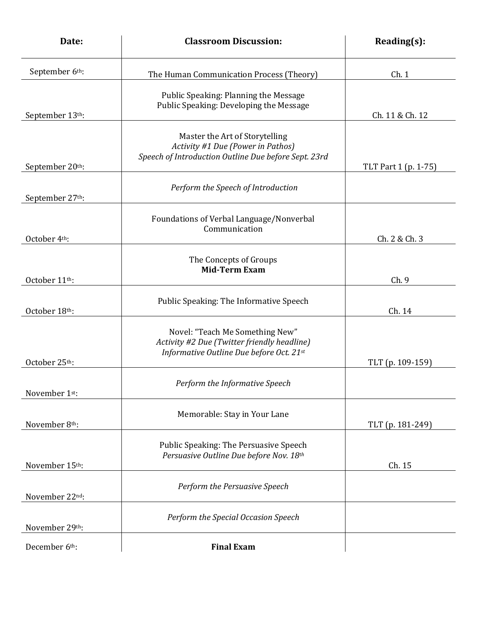| Date:           | <b>Classroom Discussion:</b>                                                                                                | Reading(s):          |
|-----------------|-----------------------------------------------------------------------------------------------------------------------------|----------------------|
| September 6th:  | The Human Communication Process (Theory)                                                                                    | Ch.1                 |
| September 13th: | Public Speaking: Planning the Message<br>Public Speaking: Developing the Message                                            | Ch. 11 & Ch. 12      |
| September 20th: | Master the Art of Storytelling<br>Activity #1 Due (Power in Pathos)<br>Speech of Introduction Outline Due before Sept. 23rd | TLT Part 1 (p. 1-75) |
| September 27th: | Perform the Speech of Introduction                                                                                          |                      |
| October 4th:    | Foundations of Verbal Language/Nonverbal<br>Communication                                                                   | Ch. 2 & Ch. 3        |
| October 11th:   | The Concepts of Groups<br><b>Mid-Term Exam</b>                                                                              | Ch.9                 |
| October 18th:   | Public Speaking: The Informative Speech                                                                                     | Ch. 14               |
| October 25th:   | Novel: "Teach Me Something New"<br>Activity #2 Due (Twitter friendly headline)<br>Informative Outline Due before Oct. 21st  | TLT (p. 109-159)     |
| November 1st:   | Perform the Informative Speech                                                                                              |                      |
| November 8th:   | Memorable: Stay in Your Lane                                                                                                | TLT (p. 181-249)     |
| November 15th:  | Public Speaking: The Persuasive Speech<br>Persuasive Outline Due before Nov. 18th                                           | Ch. 15               |
| November 22nd:  | Perform the Persuasive Speech                                                                                               |                      |
| November 29th:  | Perform the Special Occasion Speech                                                                                         |                      |
| December 6th:   | <b>Final Exam</b>                                                                                                           |                      |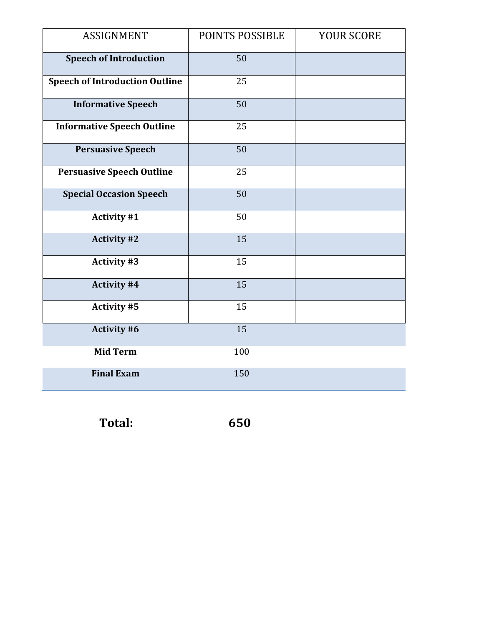| <b>ASSIGNMENT</b>                     | POINTS POSSIBLE | YOUR SCORE |
|---------------------------------------|-----------------|------------|
| <b>Speech of Introduction</b>         | 50              |            |
| <b>Speech of Introduction Outline</b> | 25              |            |
| <b>Informative Speech</b>             | 50              |            |
| <b>Informative Speech Outline</b>     | 25              |            |
| <b>Persuasive Speech</b>              | 50              |            |
| <b>Persuasive Speech Outline</b>      | 25              |            |
| <b>Special Occasion Speech</b>        | 50              |            |
| <b>Activity #1</b>                    | 50              |            |
| <b>Activity #2</b>                    | 15              |            |
| <b>Activity #3</b>                    | 15              |            |
| Activity #4                           | 15              |            |
| <b>Activity #5</b>                    | 15              |            |
| Activity #6                           | 15              |            |
| <b>Mid Term</b>                       | 100             |            |
| <b>Final Exam</b>                     | 150             |            |

 **Total: 650**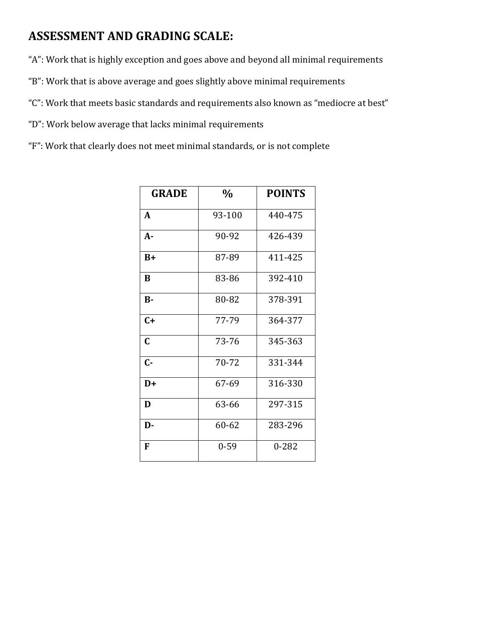### **ASSESSMENT AND GRADING SCALE:**

"A": Work that is highly exception and goes above and beyond all minimal requirements

"B": Work that is above average and goes slightly above minimal requirements

"C": Work that meets basic standards and requirements also known as "mediocre at best"

"D": Work below average that lacks minimal requirements

"F": Work that clearly does not meet minimal standards, or is not complete

| <b>GRADE</b> | $\frac{0}{0}$ | <b>POINTS</b> |
|--------------|---------------|---------------|
| A            | 93-100        | 440-475       |
| $A -$        | 90-92         | 426-439       |
| $B+$         | 87-89         | 411-425       |
| B            | 83-86         | 392-410       |
| $B -$        | 80-82         | 378-391       |
| $C+$         | 77-79         | 364-377       |
| $\mathbf C$  | 73-76         | 345-363       |
| $C -$        | 70-72         | 331-344       |
| $D+$         | 67-69         | 316-330       |
| D            | 63-66         | 297-315       |
| D-           | 60-62         | 283-296       |
| F            | $0 - 59$      | $0 - 282$     |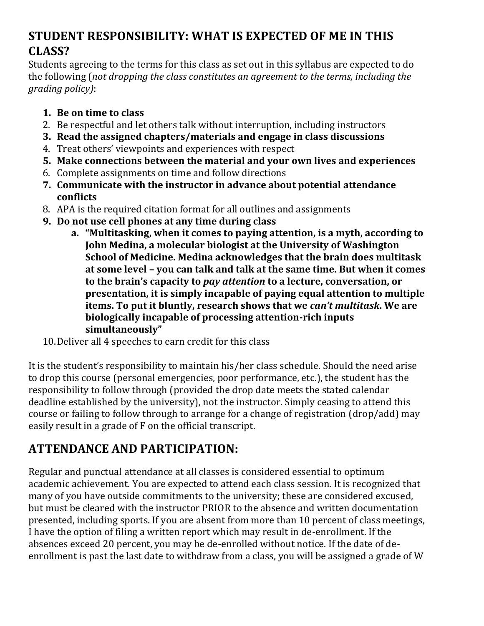## **STUDENT RESPONSIBILITY: WHAT IS EXPECTED OF ME IN THIS CLASS?**

Students agreeing to the terms for this class as set out in this syllabus are expected to do the following (*not dropping the class constitutes an agreement to the terms, including the grading policy)*:

- **1. Be on time to class**
- 2. Be respectful and let others talk without interruption, including instructors
- **3. Read the assigned chapters/materials and engage in class discussions**
- 4. Treat others' viewpoints and experiences with respect
- **5. Make connections between the material and your own lives and experiences**
- 6. Complete assignments on time and follow directions
- **7. Communicate with the instructor in advance about potential attendance conflicts**
- 8. APA is the required citation format for all outlines and assignments
- **9. Do not use cell phones at any time during class**
	- **a. "Multitasking, when it comes to paying attention, is a myth, according to John Medina, a molecular biologist at the University of Washington School of Medicine. Medina acknowledges that the brain does multitask at some level – you can talk and talk at the same time. But when it comes to the brain's capacity to** *pay attention* **to a lecture, conversation, or presentation, it is simply incapable of paying equal attention to multiple items. To put it bluntly, research shows that we** *can't multitask***. We are biologically incapable of processing attention-rich inputs simultaneously"**
- 10.Deliver all 4 speeches to earn credit for this class

It is the student's responsibility to maintain his/her class schedule. Should the need arise to drop this course (personal emergencies, poor performance, etc.), the student has the responsibility to follow through (provided the drop date meets the stated calendar deadline established by the university), not the instructor. Simply ceasing to attend this course or failing to follow through to arrange for a change of registration (drop/add) may easily result in a grade of F on the official transcript.

# **ATTENDANCE AND PARTICIPATION:**

Regular and punctual attendance at all classes is considered essential to optimum academic achievement. You are expected to attend each class session. It is recognized that many of you have outside commitments to the university; these are considered excused, but must be cleared with the instructor PRIOR to the absence and written documentation presented, including sports. If you are absent from more than 10 percent of class meetings, I have the option of filing a written report which may result in de-enrollment. If the absences exceed 20 percent, you may be de-enrolled without notice. If the date of deenrollment is past the last date to withdraw from a class, you will be assigned a grade of W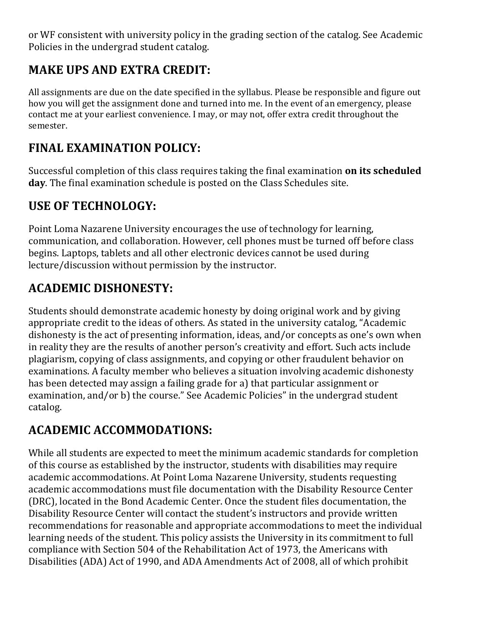or WF consistent with university policy in the grading section of the catalog. See Academic Policies in the undergrad student catalog.

## **MAKE UPS AND EXTRA CREDIT:**

All assignments are due on the date specified in the syllabus. Please be responsible and figure out how you will get the assignment done and turned into me. In the event of an emergency, please contact me at your earliest convenience. I may, or may not, offer extra credit throughout the semester.

## **FINAL EXAMINATION POLICY:**

Successful completion of this class requires taking the final examination **on its scheduled day**. The final examination schedule is posted on the Class Schedules site.

### **USE OF TECHNOLOGY:**

Point Loma Nazarene University encourages the use of technology for learning, communication, and collaboration. However, cell phones must be turned off before class begins. Laptops, tablets and all other electronic devices cannot be used during lecture/discussion without permission by the instructor.

## **ACADEMIC DISHONESTY:**

Students should demonstrate academic honesty by doing original work and by giving appropriate credit to the ideas of others. As stated in the university catalog, "Academic dishonesty is the act of presenting information, ideas, and/or concepts as one's own when in reality they are the results of another person's creativity and effort. Such acts include plagiarism, copying of class assignments, and copying or other fraudulent behavior on examinations. A faculty member who believes a situation involving academic dishonesty has been detected may assign a failing grade for a) that particular assignment or examination, and/or b) the course." See Academic Policies" in the undergrad student catalog.

## **ACADEMIC ACCOMMODATIONS:**

While all students are expected to meet the minimum academic standards for completion of this course as established by the instructor, students with disabilities may require academic accommodations. At Point Loma Nazarene University, students requesting academic accommodations must file documentation with the Disability Resource Center (DRC), located in the Bond Academic Center. Once the student files documentation, the Disability Resource Center will contact the student's instructors and provide written recommendations for reasonable and appropriate accommodations to meet the individual learning needs of the student. This policy assists the University in its commitment to full compliance with Section 504 of the Rehabilitation Act of 1973, the Americans with Disabilities (ADA) Act of 1990, and ADA Amendments Act of 2008, all of which prohibit